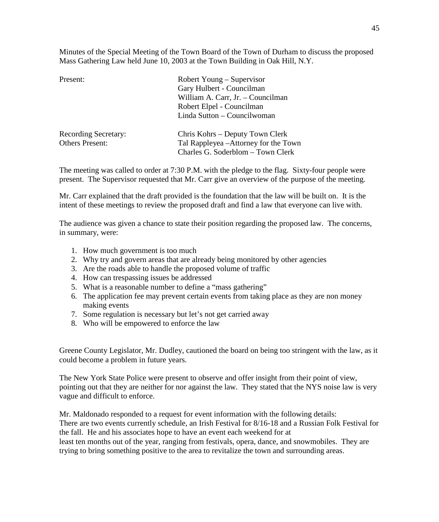Minutes of the Special Meeting of the Town Board of the Town of Durham to discuss the proposed Mass Gathering Law held June 10, 2003 at the Town Building in Oak Hill, N.Y.

| Present:                    | Robert Young – Supervisor             |
|-----------------------------|---------------------------------------|
|                             | Gary Hulbert - Councilman             |
|                             | William A. Carr, Jr. - Councilman     |
|                             | Robert Elpel - Councilman             |
|                             | Linda Sutton - Councilwoman           |
| <b>Recording Secretary:</b> | Chris Kohrs – Deputy Town Clerk       |
| <b>Others Present:</b>      | Tal Rappleyea - Attorney for the Town |
|                             | Charles G. Soderblom - Town Clerk     |

The meeting was called to order at 7:30 P.M. with the pledge to the flag. Sixty-four people were present. The Supervisor requested that Mr. Carr give an overview of the purpose of the meeting.

Mr. Carr explained that the draft provided is the foundation that the law will be built on. It is the intent of these meetings to review the proposed draft and find a law that everyone can live with.

The audience was given a chance to state their position regarding the proposed law. The concerns, in summary, were:

- 1. How much government is too much
- 2. Why try and govern areas that are already being monitored by other agencies
- 3. Are the roads able to handle the proposed volume of traffic
- 4. How can trespassing issues be addressed
- 5. What is a reasonable number to define a "mass gathering"
- 6. The application fee may prevent certain events from taking place as they are non money making events
- 7. Some regulation is necessary but let's not get carried away
- 8. Who will be empowered to enforce the law

Greene County Legislator, Mr. Dudley, cautioned the board on being too stringent with the law, as it could become a problem in future years.

The New York State Police were present to observe and offer insight from their point of view, pointing out that they are neither for nor against the law. They stated that the NYS noise law is very vague and difficult to enforce.

Mr. Maldonado responded to a request for event information with the following details: There are two events currently schedule, an Irish Festival for 8/16-18 and a Russian Folk Festival for the fall. He and his associates hope to have an event each weekend for at least ten months out of the year, ranging from festivals, opera, dance, and snowmobiles. They are trying to bring something positive to the area to revitalize the town and surrounding areas.